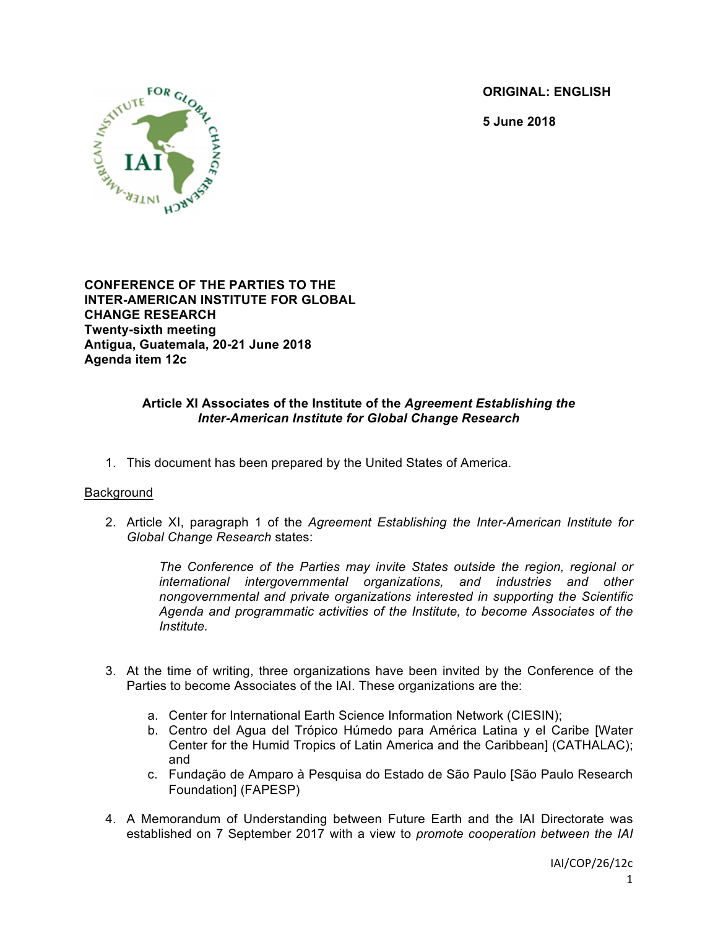**ORIGINAL: ENGLISH**

**5 June 2018**



**CONFERENCE OF THE PARTIES TO THE INTER-AMERICAN INSTITUTE FOR GLOBAL CHANGE RESEARCH Twenty-sixth meeting Antigua, Guatemala, 20-21 June 2018 Agenda item 12c**

## **Article XI Associates of the Institute of the** *Agreement Establishing the Inter-American Institute for Global Change Research*

1. This document has been prepared by the United States of America.

#### Background

2. Article XI, paragraph 1 of the *Agreement Establishing the Inter-American Institute for Global Change Research* states:

> *The Conference of the Parties may invite States outside the region, regional or international intergovernmental organizations, and industries and other nongovernmental and private organizations interested in supporting the Scientific Agenda and programmatic activities of the Institute, to become Associates of the Institute.*

- 3. At the time of writing, three organizations have been invited by the Conference of the Parties to become Associates of the IAI. These organizations are the:
	- a. Center for International Earth Science Information Network (CIESIN);
	- b. Centro del Agua del Trópico Húmedo para América Latina y el Caribe [Water Center for the Humid Tropics of Latin America and the Caribbean] (CATHALAC); and
	- c. Fundação de Amparo à Pesquisa do Estado de São Paulo [São Paulo Research Foundation] (FAPESP)
- 4. A Memorandum of Understanding between Future Earth and the IAI Directorate was established on 7 September 2017 with a view to *promote cooperation between the IAI*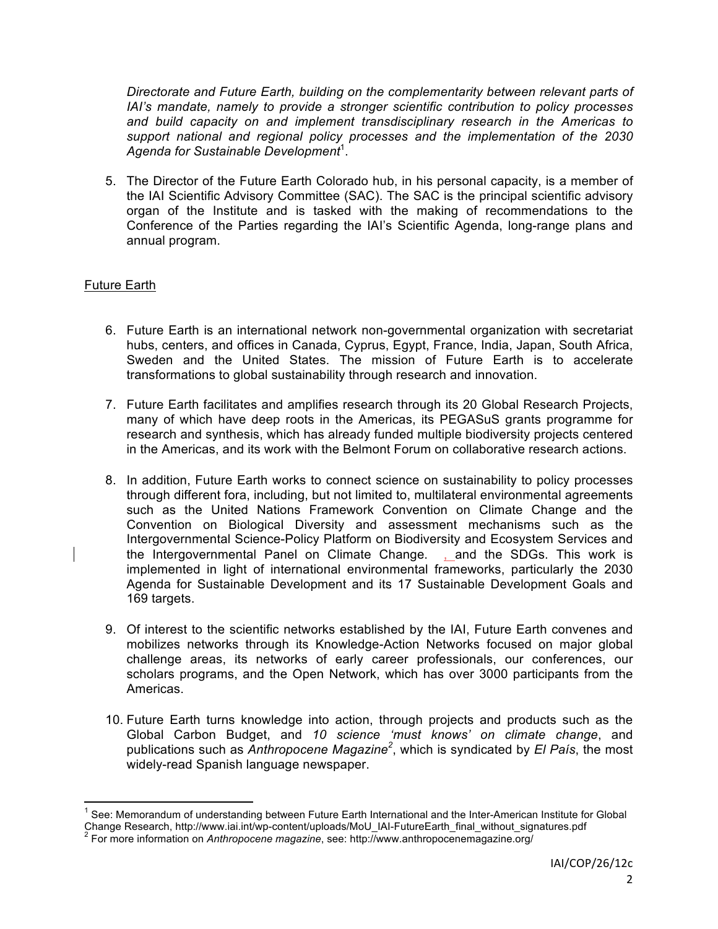*Directorate and Future Earth, building on the complementarity between relevant parts of IAI's mandate, namely to provide a stronger scientific contribution to policy processes and build capacity on and implement transdisciplinary research in the Americas to support national and regional policy processes and the implementation of the 2030*  Agenda for Sustainable Development<sup>1</sup>.

5. The Director of the Future Earth Colorado hub, in his personal capacity, is a member of the IAI Scientific Advisory Committee (SAC). The SAC is the principal scientific advisory organ of the Institute and is tasked with the making of recommendations to the Conference of the Parties regarding the IAI's Scientific Agenda, long-range plans and annual program.

# Future Earth

- 6. Future Earth is an international network non-governmental organization with secretariat hubs, centers, and offices in Canada, Cyprus, Egypt, France, India, Japan, South Africa, Sweden and the United States. The mission of Future Earth is to accelerate transformations to global sustainability through research and innovation.
- 7. Future Earth facilitates and amplifies research through its 20 Global Research Projects, many of which have deep roots in the Americas, its PEGASuS grants programme for research and synthesis, which has already funded multiple biodiversity projects centered in the Americas, and its work with the Belmont Forum on collaborative research actions.
- 8. In addition, Future Earth works to connect science on sustainability to policy processes through different fora, including, but not limited to, multilateral environmental agreements such as the United Nations Framework Convention on Climate Change and the Convention on Biological Diversity and assessment mechanisms such as the Intergovernmental Science-Policy Platform on Biodiversity and Ecosystem Services and the Intergovernmental Panel on Climate Change. , and the SDGs. This work is implemented in light of international environmental frameworks, particularly the 2030 Agenda for Sustainable Development and its 17 Sustainable Development Goals and 169 targets.
- 9. Of interest to the scientific networks established by the IAI, Future Earth convenes and mobilizes networks through its Knowledge-Action Networks focused on major global challenge areas, its networks of early career professionals, our conferences, our scholars programs, and the Open Network, which has over 3000 participants from the Americas.
- 10. Future Earth turns knowledge into action, through projects and products such as the Global Carbon Budget, and *10 science 'must knows' on climate change*, and publications such as *Anthropocene Magazine<sup>2</sup>* , which is syndicated by *El País*, the most widely-read Spanish language newspaper.

 $1$  See: Memorandum of understanding between Future Earth International and the Inter-American Institute for Global Change Research, http://www.iai.int/wp-content/uploads/MoU\_IAI-FutureEarth\_final\_without\_signatures.pdf <sup>2</sup> For more information on *Anthropocene magazine*, see: http://www.anthropocenemagazine.org/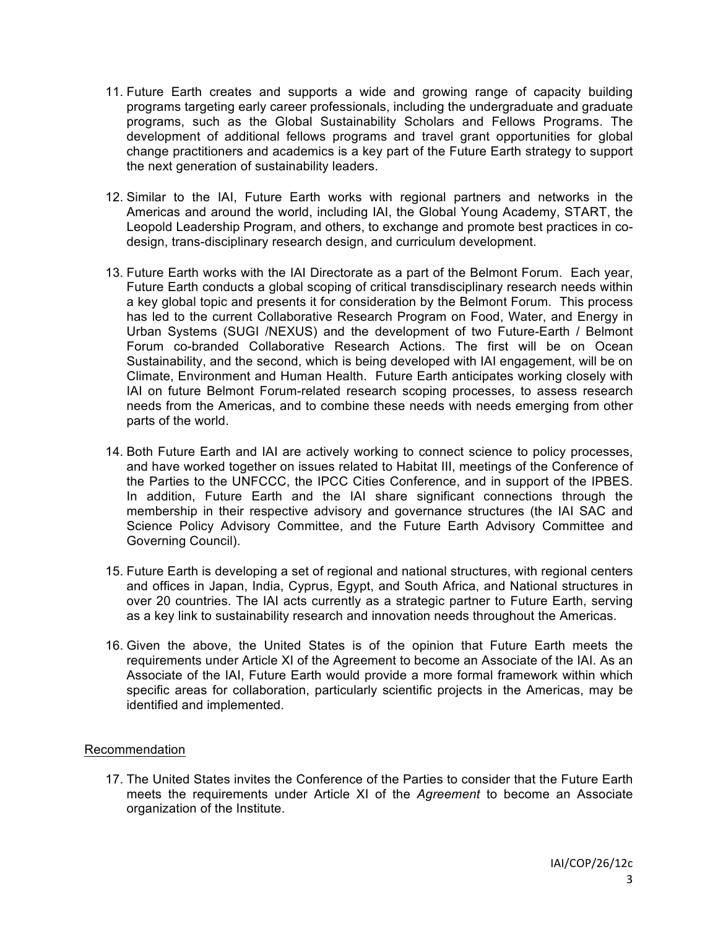- 11. Future Earth creates and supports a wide and growing range of capacity building programs targeting early career professionals, including the undergraduate and graduate programs, such as the Global Sustainability Scholars and Fellows Programs. The development of additional fellows programs and travel grant opportunities for global change practitioners and academics is a key part of the Future Earth strategy to support the next generation of sustainability leaders.
- 12. Similar to the IAI, Future Earth works with regional partners and networks in the Americas and around the world, including IAI, the Global Young Academy, START, the Leopold Leadership Program, and others, to exchange and promote best practices in codesign, trans-disciplinary research design, and curriculum development.
- 13. Future Earth works with the IAI Directorate as a part of the Belmont Forum. Each year, Future Earth conducts a global scoping of critical transdisciplinary research needs within a key global topic and presents it for consideration by the Belmont Forum. This process has led to the current Collaborative Research Program on Food, Water, and Energy in Urban Systems (SUGI /NEXUS) and the development of two Future-Earth / Belmont Forum co-branded Collaborative Research Actions. The first will be on Ocean Sustainability, and the second, which is being developed with IAI engagement, will be on Climate, Environment and Human Health. Future Earth anticipates working closely with IAI on future Belmont Forum-related research scoping processes, to assess research needs from the Americas, and to combine these needs with needs emerging from other parts of the world.
- 14. Both Future Earth and IAI are actively working to connect science to policy processes, and have worked together on issues related to Habitat III, meetings of the Conference of the Parties to the UNFCCC, the IPCC Cities Conference, and in support of the IPBES. In addition, Future Earth and the IAI share significant connections through the membership in their respective advisory and governance structures (the IAI SAC and Science Policy Advisory Committee, and the Future Earth Advisory Committee and Governing Council).
- 15. Future Earth is developing a set of regional and national structures, with regional centers and offices in Japan, India, Cyprus, Egypt, and South Africa, and National structures in over 20 countries. The IAI acts currently as a strategic partner to Future Earth, serving as a key link to sustainability research and innovation needs throughout the Americas.
- 16. Given the above, the United States is of the opinion that Future Earth meets the requirements under Article XI of the Agreement to become an Associate of the IAI. As an Associate of the IAI, Future Earth would provide a more formal framework within which specific areas for collaboration, particularly scientific projects in the Americas, may be identified and implemented.

## Recommendation

17. The United States invites the Conference of the Parties to consider that the Future Earth meets the requirements under Article XI of the *Agreement* to become an Associate organization of the Institute.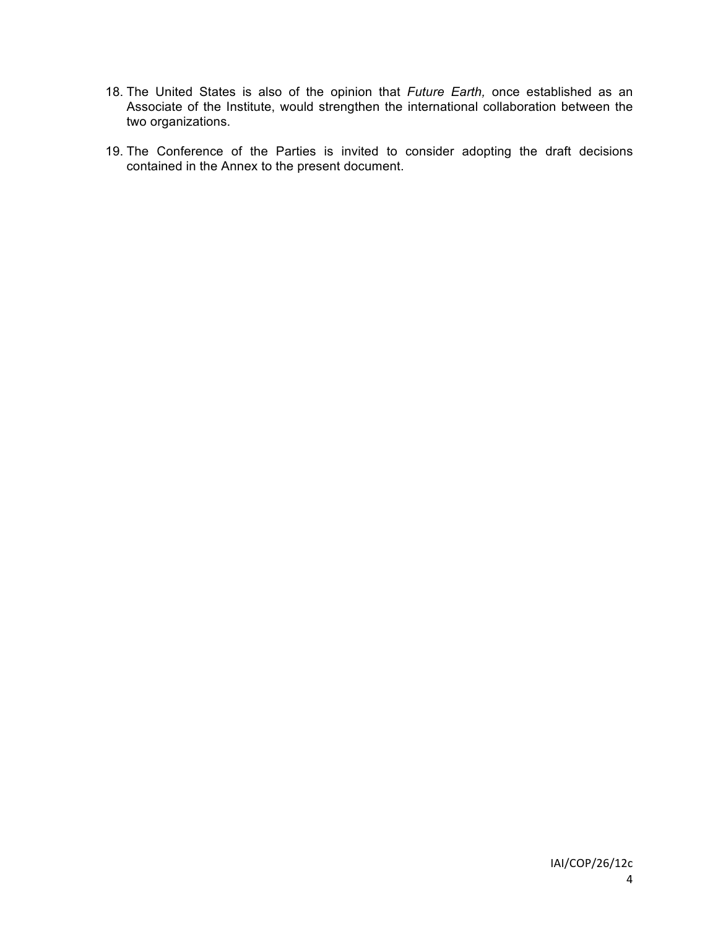- 18. The United States is also of the opinion that *Future Earth,* once established as an Associate of the Institute, would strengthen the international collaboration between the two organizations.
- 19. The Conference of the Parties is invited to consider adopting the draft decisions contained in the Annex to the present document.